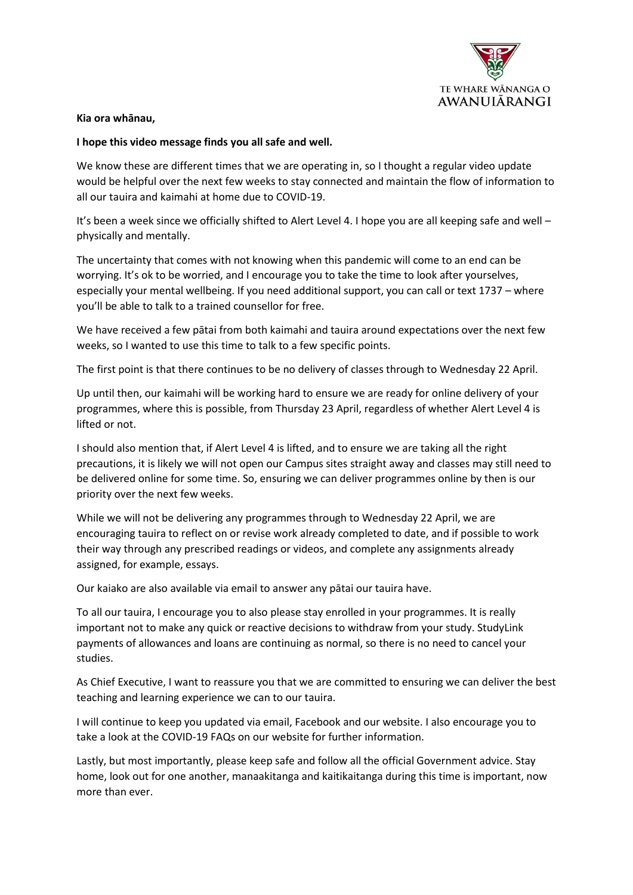

## **Kia ora whānau,**

## **I hope this video message finds you all safe and well.**

We know these are different times that we are operating in, so I thought a regular video update would be helpful over the next few weeks to stay connected and maintain the flow of information to all our tauira and kaimahi at home due to COVID-19.

It's been a week since we officially shifted to Alert Level 4. I hope you are all keeping safe and well – physically and mentally.

The uncertainty that comes with not knowing when this pandemic will come to an end can be worrying. It's ok to be worried, and I encourage you to take the time to look after yourselves, especially your mental wellbeing. If you need additional support, you can call or text 1737 – where you'll be able to talk to a trained counsellor for free.

We have received a few pātai from both kaimahi and tauira around expectations over the next few weeks, so I wanted to use this time to talk to a few specific points.

The first point is that there continues to be no delivery of classes through to Wednesday 22 April.

Up until then, our kaimahi will be working hard to ensure we are ready for online delivery of your programmes, where this is possible, from Thursday 23 April, regardless of whether Alert Level 4 is lifted or not.

I should also mention that, if Alert Level 4 is lifted, and to ensure we are taking all the right precautions, it is likely we will not open our Campus sites straight away and classes may still need to be delivered online for some time. So, ensuring we can deliver programmes online by then is our priority over the next few weeks.

While we will not be delivering any programmes through to Wednesday 22 April, we are encouraging tauira to reflect on or revise work already completed to date, and if possible to work their way through any prescribed readings or videos, and complete any assignments already assigned, for example, essays.

Our kaiako are also available via email to answer any pātai our tauira have.

To all our tauira, I encourage you to also please stay enrolled in your programmes. It is really important not to make any quick or reactive decisions to withdraw from your study. StudyLink payments of allowances and loans are continuing as normal, so there is no need to cancel your studies.

As Chief Executive, I want to reassure you that we are committed to ensuring we can deliver the best teaching and learning experience we can to our tauira.

I will continue to keep you updated via email, Facebook and our website. I also encourage you to take a look at the COVID-19 FAQs on our website for further information.

Lastly, but most importantly, please keep safe and follow all the official Government advice. Stay home, look out for one another, manaakitanga and kaitikaitanga during this time is important, now more than ever.